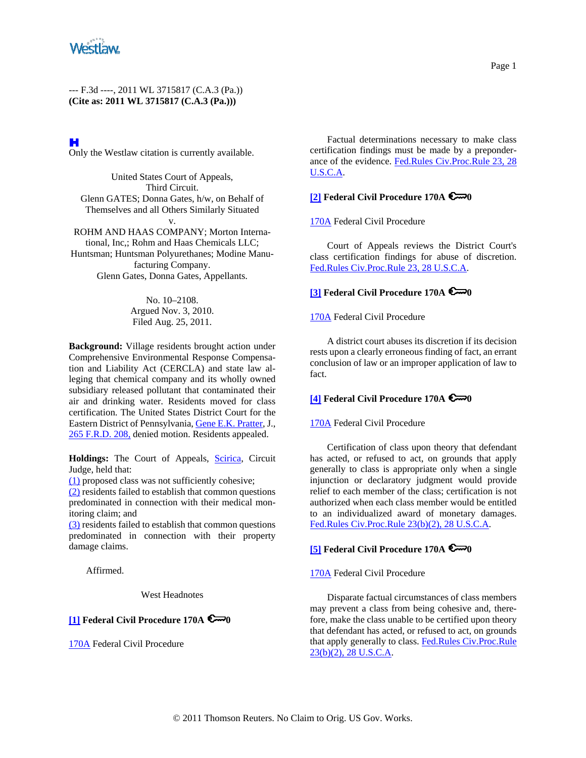

# H

Only the Westlaw citation is currently available.

United States Court of Appeals, Third Circuit. Glenn GATES; Donna Gates, h/w, on Behalf of Themselves and all Others Similarly Situated

v. ROHM AND HAAS COMPANY; Morton International, Inc,; Rohm and Haas Chemicals LLC; Huntsman; Huntsman Polyurethanes; Modine Manufacturing Company. Glenn Gates, Donna Gates, Appellants.

> No. 10–2108. Argued Nov. 3, 2010. Filed Aug. 25, 2011.

**Background:** Village residents brought action under Comprehensive Environmental Response Compensation and Liability Act (CERCLA) and state law alleging that chemical company and its wholly owned subsidiary released pollutant that contaminated their air and drinking water. Residents moved for class certification. The United States District Court for the Eastern District of Pennsylvania, Gene E.K. Pratter, J., 265 F.R.D. 208, denied motion. Residents appealed.

Holdings: The Court of Appeals, Scirica, Circuit Judge, held that:

(1) proposed class was not sufficiently cohesive;

(2) residents failed to establish that common questions predominated in connection with their medical monitoring claim; and

(3) residents failed to establish that common questions predominated in connection with their property damage claims.

Affirmed.

West Headnotes

## **[1] Federal Civil Procedure 170A 0**

170A Federal Civil Procedure

Factual determinations necessary to make class certification findings must be made by a preponderance of the evidence. Fed.Rules Civ.Proc.Rule 23, 28 U.S.C.A.

## **[2] Federal Civil Procedure 170A 0**<sup>0</sup>

170A Federal Civil Procedure

Court of Appeals reviews the District Court's class certification findings for abuse of discretion. Fed.Rules Civ.Proc.Rule 23, 28 U.S.C.A.

# **[3] Federal Civil Procedure 170A 0**

170A Federal Civil Procedure

A district court abuses its discretion if its decision rests upon a clearly erroneous finding of fact, an errant conclusion of law or an improper application of law to fact.

# **[4] Federal Civil Procedure 170A**  $\blacktriangleright$ 0

## 170A Federal Civil Procedure

Certification of class upon theory that defendant has acted, or refused to act, on grounds that apply generally to class is appropriate only when a single injunction or declaratory judgment would provide relief to each member of the class; certification is not authorized when each class member would be entitled to an individualized award of monetary damages. Fed.Rules Civ.Proc.Rule 23(b)(2), 28 U.S.C.A.

# **[5] Federal Civil Procedure 170A 0**

170A Federal Civil Procedure

Disparate factual circumstances of class members may prevent a class from being cohesive and, therefore, make the class unable to be certified upon theory that defendant has acted, or refused to act, on grounds that apply generally to class. Fed.Rules Civ.Proc.Rule 23(b)(2), 28 U.S.C.A.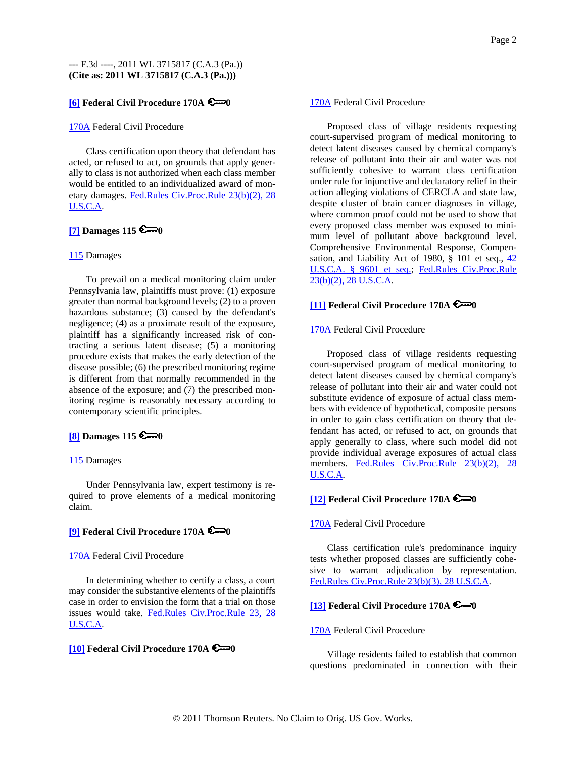# **[6] Federal Civil Procedure 170A**  $\blacktriangleright$ 0

#### 170A Federal Civil Procedure

Class certification upon theory that defendant has acted, or refused to act, on grounds that apply generally to class is not authorized when each class member would be entitled to an individualized award of monetary damages. Fed.Rules Civ.Proc.Rule 23(b)(2), 28 U.S.C.A.

## **[7] Damages 115**  $\epsilon \rightarrow 0$

#### 115 Damages

To prevail on a medical monitoring claim under Pennsylvania law, plaintiffs must prove: (1) exposure greater than normal background levels; (2) to a proven hazardous substance; (3) caused by the defendant's negligence; (4) as a proximate result of the exposure, plaintiff has a significantly increased risk of contracting a serious latent disease; (5) a monitoring procedure exists that makes the early detection of the disease possible; (6) the prescribed monitoring regime is different from that normally recommended in the absence of the exposure; and (7) the prescribed monitoring regime is reasonably necessary according to contemporary scientific principles.

## **[8] Damages 115 0**

#### 115 Damages

Under Pennsylvania law, expert testimony is required to prove elements of a medical monitoring claim.

## **[9] Federal Civil Procedure 170A 0**<sup>0</sup>

#### 170A Federal Civil Procedure

In determining whether to certify a class, a court may consider the substantive elements of the plaintiffs case in order to envision the form that a trial on those issues would take. Fed.Rules Civ.Proc.Rule 23, 28 U.S.C.A.

# **[10] Federal Civil Procedure 170A 0**

#### 170A Federal Civil Procedure

Proposed class of village residents requesting court-supervised program of medical monitoring to detect latent diseases caused by chemical company's release of pollutant into their air and water was not sufficiently cohesive to warrant class certification under rule for injunctive and declaratory relief in their action alleging violations of CERCLA and state law, despite cluster of brain cancer diagnoses in village, where common proof could not be used to show that every proposed class member was exposed to minimum level of pollutant above background level. Comprehensive Environmental Response, Compensation, and Liability Act of 1980,  $\S$  101 et seq.,  $42$ U.S.C.A. § 9601 et seq.; Fed.Rules Civ.Proc.Rule 23(b)(2), 28 U.S.C.A.

## **[11] Federal Civil Procedure 170A 0**

#### 170A Federal Civil Procedure

Proposed class of village residents requesting court-supervised program of medical monitoring to detect latent diseases caused by chemical company's release of pollutant into their air and water could not substitute evidence of exposure of actual class members with evidence of hypothetical, composite persons in order to gain class certification on theory that defendant has acted, or refused to act, on grounds that apply generally to class, where such model did not provide individual average exposures of actual class members. Fed.Rules Civ.Proc.Rule 23(b)(2), 28 U.S.C.A.

# **[12] Federal Civil Procedure 170A 0**

#### 170A Federal Civil Procedure

Class certification rule's predominance inquiry tests whether proposed classes are sufficiently cohesive to warrant adjudication by representation. Fed.Rules Civ.Proc.Rule 23(b)(3), 28 U.S.C.A.

# **[13] Federal Civil Procedure 170A 0**

#### 170A Federal Civil Procedure

Village residents failed to establish that common questions predominated in connection with their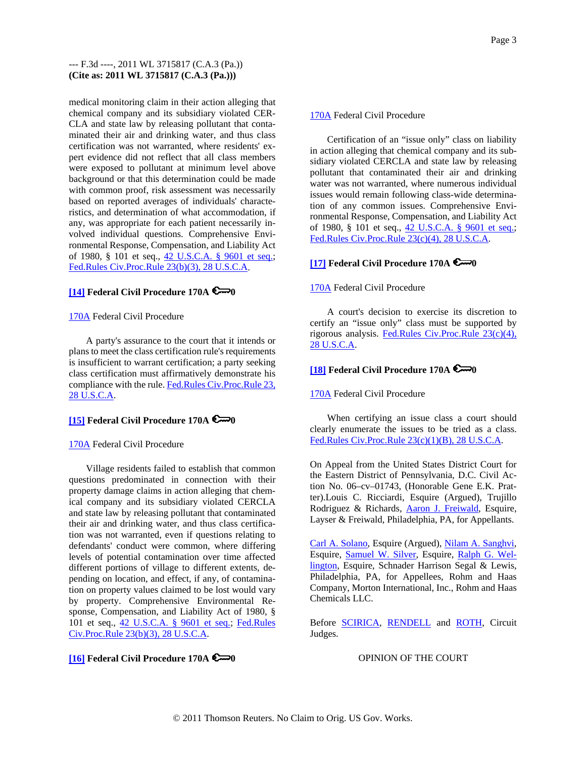medical monitoring claim in their action alleging that chemical company and its subsidiary violated CER-CLA and state law by releasing pollutant that contaminated their air and drinking water, and thus class certification was not warranted, where residents' expert evidence did not reflect that all class members were exposed to pollutant at minimum level above background or that this determination could be made with common proof, risk assessment was necessarily based on reported averages of individuals' characteristics, and determination of what accommodation, if any, was appropriate for each patient necessarily involved individual questions. Comprehensive Environmental Response, Compensation, and Liability Act of 1980, § 101 et seq., 42 U.S.C.A. § 9601 et seq.; Fed.Rules Civ.Proc.Rule 23(b)(3), 28 U.S.C.A.

# **[14] Federal Civil Procedure 170A 0**

#### 170A Federal Civil Procedure

A party's assurance to the court that it intends or plans to meet the class certification rule's requirements is insufficient to warrant certification; a party seeking class certification must affirmatively demonstrate his compliance with the rule. Fed.Rules Civ.Proc.Rule 23, 28 U.S.C.A.

# **[15] Federal Civil Procedure 170A 0**

#### 170A Federal Civil Procedure

Village residents failed to establish that common questions predominated in connection with their property damage claims in action alleging that chemical company and its subsidiary violated CERCLA and state law by releasing pollutant that contaminated their air and drinking water, and thus class certification was not warranted, even if questions relating to defendants' conduct were common, where differing levels of potential contamination over time affected different portions of village to different extents, depending on location, and effect, if any, of contamination on property values claimed to be lost would vary by property. Comprehensive Environmental Response, Compensation, and Liability Act of 1980, § 101 et seq., 42 U.S.C.A. § 9601 et seq.; Fed.Rules Civ.Proc.Rule 23(b)(3), 28 U.S.C.A.

#### 170A Federal Civil Procedure

Certification of an "issue only" class on liability in action alleging that chemical company and its subsidiary violated CERCLA and state law by releasing pollutant that contaminated their air and drinking water was not warranted, where numerous individual issues would remain following class-wide determination of any common issues. Comprehensive Environmental Response, Compensation, and Liability Act of 1980, § 101 et seq., 42 U.S.C.A. § 9601 et seq.; Fed.Rules Civ.Proc.Rule 23(c)(4), 28 U.S.C.A.

# **[17] Federal Civil Procedure 170A 0**

#### 170A Federal Civil Procedure

A court's decision to exercise its discretion to certify an "issue only" class must be supported by rigorous analysis. Fed.Rules Civ.Proc.Rule 23(c)(4), 28 U.S.C.A.

# **[18] Federal Civil Procedure 170A 6**<sup>0</sup>

#### 170A Federal Civil Procedure

When certifying an issue class a court should clearly enumerate the issues to be tried as a class. Fed.Rules Civ.Proc.Rule 23(c)(1)(B), 28 U.S.C.A.

On Appeal from the United States District Court for the Eastern District of Pennsylvania, D.C. Civil Action No. 06–cv–01743, (Honorable Gene E.K. Pratter).Louis C. Ricciardi, Esquire (Argued), Trujillo Rodriguez & Richards, Aaron J. Freiwald, Esquire, Layser & Freiwald, Philadelphia, PA, for Appellants.

Carl A. Solano, Esquire (Argued), Nilam A. Sanghvi, Esquire, Samuel W. Silver, Esquire, Ralph G. Wellington, Esquire, Schnader Harrison Segal & Lewis, Philadelphia, PA, for Appellees, Rohm and Haas Company, Morton International, Inc., Rohm and Haas Chemicals LLC.

Before **SCIRICA**, **RENDELL** and **ROTH**, Circuit Judges.

## **[16] Federal Civil Procedure 170A 0**<sup>0</sup>

OPINION OF THE COURT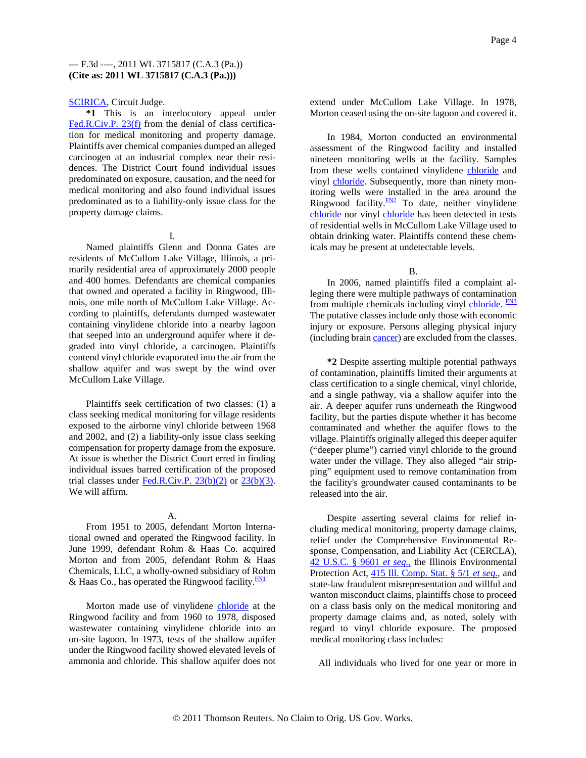#### SCIRICA, Circuit Judge.

**\*1** This is an interlocutory appeal under Fed.R.Civ.P. 23(f) from the denial of class certification for medical monitoring and property damage. Plaintiffs aver chemical companies dumped an alleged carcinogen at an industrial complex near their residences. The District Court found individual issues predominated on exposure, causation, and the need for medical monitoring and also found individual issues predominated as to a liability-only issue class for the property damage claims.

#### I.

Named plaintiffs Glenn and Donna Gates are residents of McCullom Lake Village, Illinois, a primarily residential area of approximately 2000 people and 400 homes. Defendants are chemical companies that owned and operated a facility in Ringwood, Illinois, one mile north of McCullom Lake Village. According to plaintiffs, defendants dumped wastewater containing vinylidene chloride into a nearby lagoon that seeped into an underground aquifer where it degraded into vinyl chloride, a carcinogen. Plaintiffs contend vinyl chloride evaporated into the air from the shallow aquifer and was swept by the wind over McCullom Lake Village.

Plaintiffs seek certification of two classes: (1) a class seeking medical monitoring for village residents exposed to the airborne vinyl chloride between 1968 and 2002, and (2) a liability-only issue class seeking compensation for property damage from the exposure. At issue is whether the District Court erred in finding individual issues barred certification of the proposed trial classes under  $Fed.R.Civ.P. 23(b)(2)$  or  $23(b)(3)$ .</u> We will affirm.

# A.

From 1951 to 2005, defendant Morton International owned and operated the Ringwood facility. In June 1999, defendant Rohm & Haas Co. acquired Morton and from 2005, defendant Rohm & Haas Chemicals, LLC, a wholly-owned subsidiary of Rohm & Haas Co., has operated the Ringwood facility. $F_{\text{N1}}$ 

Morton made use of vinylidene chloride at the Ringwood facility and from 1960 to 1978, disposed wastewater containing vinylidene chloride into an on-site lagoon. In 1973, tests of the shallow aquifer under the Ringwood facility showed elevated levels of ammonia and chloride. This shallow aquifer does not extend under McCullom Lake Village. In 1978, Morton ceased using the on-site lagoon and covered it.

In 1984, Morton conducted an environmental assessment of the Ringwood facility and installed nineteen monitoring wells at the facility. Samples from these wells contained vinylidene chloride and vinyl chloride. Subsequently, more than ninety monitoring wells were installed in the area around the Ringwood facility. $\frac{FN2}{TN}$  To date, neither vinylidene chloride nor vinyl chloride has been detected in tests of residential wells in McCullom Lake Village used to obtain drinking water. Plaintiffs contend these chemicals may be present at undetectable levels.

#### B.

In 2006, named plaintiffs filed a complaint alleging there were multiple pathways of contamination from multiple chemicals including vinyl chloride. **FN3** The putative classes include only those with economic injury or exposure. Persons alleging physical injury (including brain cancer) are excluded from the classes.

**\*2** Despite asserting multiple potential pathways of contamination, plaintiffs limited their arguments at class certification to a single chemical, vinyl chloride, and a single pathway, via a shallow aquifer into the air. A deeper aquifer runs underneath the Ringwood facility, but the parties dispute whether it has become contaminated and whether the aquifer flows to the village. Plaintiffs originally alleged this deeper aquifer ("deeper plume") carried vinyl chloride to the ground water under the village. They also alleged "air stripping" equipment used to remove contamination from the facility's groundwater caused contaminants to be released into the air.

Despite asserting several claims for relief including medical monitoring, property damage claims, relief under the Comprehensive Environmental Response, Compensation, and Liability Act (CERCLA), 42 U.S.C. § 9601 *et seq.,* the Illinois Environmental Protection Act, 415 Ill. Comp. Stat. § 5/1 *et seq.,* and state-law fraudulent misrepresentation and willful and wanton misconduct claims, plaintiffs chose to proceed on a class basis only on the medical monitoring and property damage claims and, as noted, solely with regard to vinyl chloride exposure. The proposed medical monitoring class includes:

All individuals who lived for one year or more in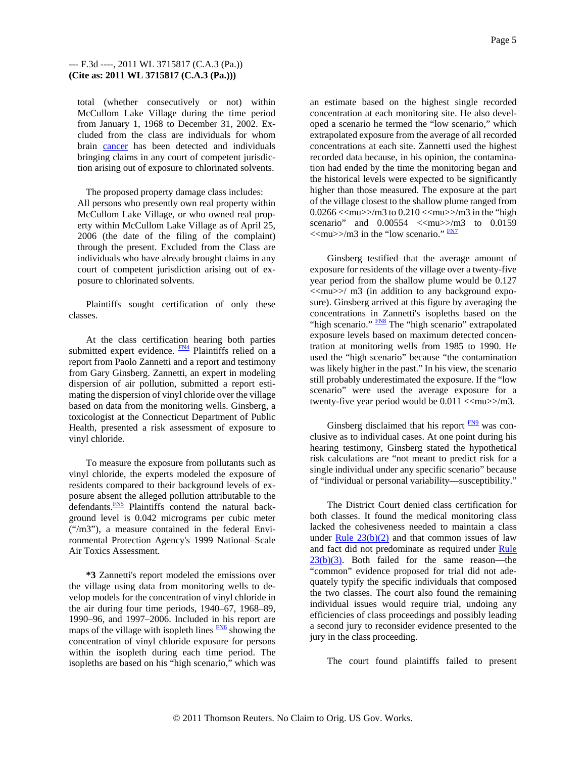total (whether consecutively or not) within McCullom Lake Village during the time period from January 1, 1968 to December 31, 2002. Excluded from the class are individuals for whom brain cancer has been detected and individuals bringing claims in any court of competent jurisdiction arising out of exposure to chlorinated solvents.

The proposed property damage class includes: All persons who presently own real property within McCullom Lake Village, or who owned real property within McCullom Lake Village as of April 25, 2006 (the date of the filing of the complaint) through the present. Excluded from the Class are individuals who have already brought claims in any court of competent jurisdiction arising out of exposure to chlorinated solvents.

Plaintiffs sought certification of only these classes.

At the class certification hearing both parties submitted expert evidence. **FN4** Plaintiffs relied on a report from Paolo Zannetti and a report and testimony from Gary Ginsberg. Zannetti, an expert in modeling dispersion of air pollution, submitted a report estimating the dispersion of vinyl chloride over the village based on data from the monitoring wells. Ginsberg, a toxicologist at the Connecticut Department of Public Health, presented a risk assessment of exposure to vinyl chloride.

To measure the exposure from pollutants such as vinyl chloride, the experts modeled the exposure of residents compared to their background levels of exposure absent the alleged pollution attributable to the defendants. FN5 Plaintiffs contend the natural background level is 0.042 micrograms per cubic meter ("/m3"), a measure contained in the federal Environmental Protection Agency's 1999 National–Scale Air Toxics Assessment.

**\*3** Zannetti's report modeled the emissions over the village using data from monitoring wells to develop models for the concentration of vinyl chloride in the air during four time periods, 1940–67, 1968–89, 1990–96, and 1997–2006. Included in his report are maps of the village with isopleth lines  $\frac{FN6}{FN6}$  showing the concentration of vinyl chloride exposure for persons within the isopleth during each time period. The isopleths are based on his "high scenario," which was an estimate based on the highest single recorded concentration at each monitoring site. He also developed a scenario he termed the "low scenario," which extrapolated exposure from the average of all recorded concentrations at each site. Zannetti used the highest recorded data because, in his opinion, the contamination had ended by the time the monitoring began and the historical levels were expected to be significantly higher than those measured. The exposure at the part of the village closest to the shallow plume ranged from 0.0266  $\langle \text{mu}\rangle$ /m3 to 0.210  $\langle \text{mu}\rangle$ /m3 in the "high scenario" and  $0.00554 < \langle \text{mu} \rangle > \langle \text{m}3 \text{ to } 0.0159$  $\leq$ mu $\geq$ /m3 in the "low scenario."  $\frac{FN7}{FN7}$ 

Ginsberg testified that the average amount of exposure for residents of the village over a twenty-five year period from the shallow plume would be 0.127  $\langle \langle \text{mu} \rangle \rangle / \text{m}$ 3 (in addition to any background exposure). Ginsberg arrived at this figure by averaging the concentrations in Zannetti's isopleths based on the "high scenario." **FN8** The "high scenario" extrapolated exposure levels based on maximum detected concentration at monitoring wells from 1985 to 1990. He used the "high scenario" because "the contamination was likely higher in the past." In his view, the scenario still probably underestimated the exposure. If the "low scenario" were used the average exposure for a twenty-five year period would be  $0.011 <$   $<$ mu $>$ /m3.

Ginsberg disclaimed that his report  $\frac{FN9}{FN}$  was conclusive as to individual cases. At one point during his hearing testimony, Ginsberg stated the hypothetical risk calculations are "not meant to predict risk for a single individual under any specific scenario" because of "individual or personal variability—susceptibility."

The District Court denied class certification for both classes. It found the medical monitoring class lacked the cohesiveness needed to maintain a class under Rule  $23(b)(2)$  and that common issues of law and fact did not predominate as required under Rule  $23(b)(3)$ . Both failed for the same reason—the "common" evidence proposed for trial did not adequately typify the specific individuals that composed the two classes. The court also found the remaining individual issues would require trial, undoing any efficiencies of class proceedings and possibly leading a second jury to reconsider evidence presented to the jury in the class proceeding.

The court found plaintiffs failed to present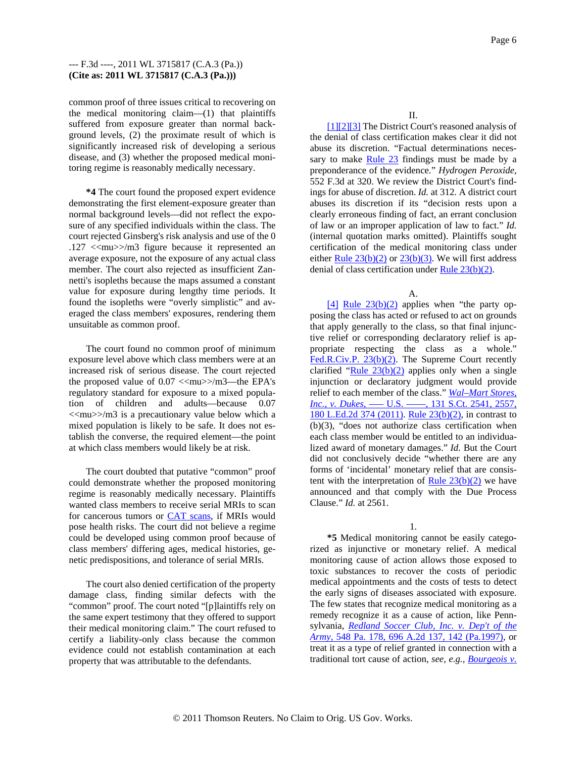common proof of three issues critical to recovering on the medical monitoring claim—(1) that plaintiffs suffered from exposure greater than normal background levels, (2) the proximate result of which is significantly increased risk of developing a serious disease, and (3) whether the proposed medical monitoring regime is reasonably medically necessary.

**\*4** The court found the proposed expert evidence demonstrating the first element-exposure greater than normal background levels—did not reflect the exposure of any specified individuals within the class. The court rejected Ginsberg's risk analysis and use of the 0 .127 <<mu>>/m3 figure because it represented an average exposure, not the exposure of any actual class member. The court also rejected as insufficient Zannetti's isopleths because the maps assumed a constant value for exposure during lengthy time periods. It found the isopleths were "overly simplistic" and averaged the class members' exposures, rendering them unsuitable as common proof.

The court found no common proof of minimum exposure level above which class members were at an increased risk of serious disease. The court rejected the proposed value of  $0.07 <$   $<$ mu $>$ /m3—the EPA's regulatory standard for exposure to a mixed population of children and adults—because 0.07  $\langle \langle \text{mu} \rangle \rangle / \text{m}$ 3 is a precautionary value below which a mixed population is likely to be safe. It does not establish the converse, the required element—the point at which class members would likely be at risk.

The court doubted that putative "common" proof could demonstrate whether the proposed monitoring regime is reasonably medically necessary. Plaintiffs wanted class members to receive serial MRIs to scan for cancerous tumors or CAT scans, if MRIs would pose health risks. The court did not believe a regime could be developed using common proof because of class members' differing ages, medical histories, genetic predispositions, and tolerance of serial MRIs.

The court also denied certification of the property damage class, finding similar defects with the "common" proof. The court noted "[p]laintiffs rely on the same expert testimony that they offered to support their medical monitoring claim." The court refused to certify a liability-only class because the common evidence could not establish contamination at each property that was attributable to the defendants.

II.

[1][2][3] The District Court's reasoned analysis of the denial of class certification makes clear it did not abuse its discretion. "Factual determinations necessary to make Rule 23 findings must be made by a preponderance of the evidence." *Hydrogen Peroxide,* 552 F.3d at 320. We review the District Court's findings for abuse of discretion. *Id.* at 312. A district court abuses its discretion if its "decision rests upon a clearly erroneous finding of fact, an errant conclusion of law or an improper application of law to fact." *Id.* (internal quotation marks omitted). Plaintiffs sought certification of the medical monitoring class under either Rule  $23(b)(2)$  or  $23(b)(3)$ . We will first address denial of class certification under Rule  $23(b)(2)$ .

A.

 $[4]$  Rule  $23(b)(2)$  applies when "the party opposing the class has acted or refused to act on grounds that apply generally to the class, so that final injunctive relief or corresponding declaratory relief is appropriate respecting the class as a whole." Fed.R.Civ.P. 23(b)(2). The Supreme Court recently clarified "Rule  $23(b)(2)$  applies only when a single injunction or declaratory judgment would provide relief to each member of the class." *Wal–Mart Stores, Inc., v. Dukes,* ––– U.S. ––––, 131 S.Ct. 2541, 2557, 180 L.Ed.2d 374 (2011). Rule 23(b)(2), in contrast to (b)(3), "does not authorize class certification when each class member would be entitled to an individualized award of monetary damages." *Id.* But the Court did not conclusively decide "whether there are any forms of 'incidental' monetary relief that are consistent with the interpretation of Rule  $23(b)(2)$  we have announced and that comply with the Due Process Clause." *Id.* at 2561.

## 1.

**\*5** Medical monitoring cannot be easily categorized as injunctive or monetary relief. A medical monitoring cause of action allows those exposed to toxic substances to recover the costs of periodic medical appointments and the costs of tests to detect the early signs of diseases associated with exposure. The few states that recognize medical monitoring as a remedy recognize it as a cause of action, like Pennsylvania, *Redland Soccer Club, Inc. v. Dep't of the Army,* 548 Pa. 178, 696 A.2d 137, 142 (Pa.1997), or treat it as a type of relief granted in connection with a traditional tort cause of action, *see, e.g., Bourgeois v.*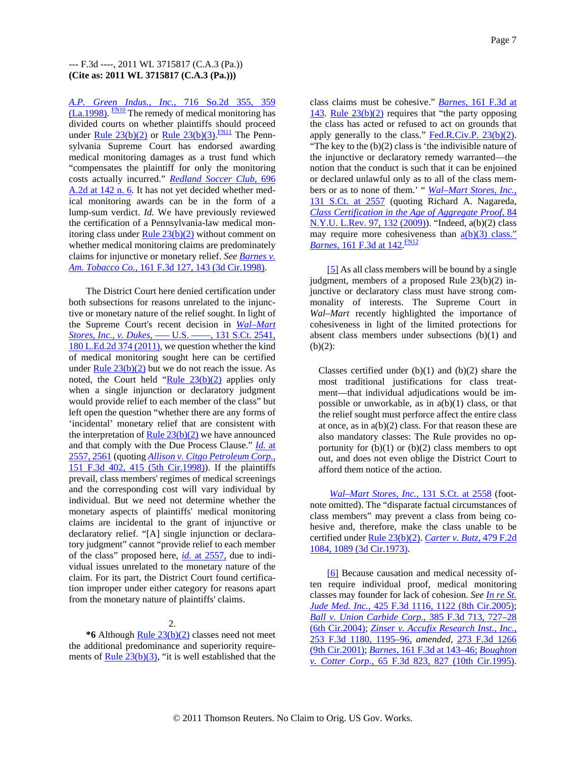*A.P. Green Indus., Inc.,* 716 So.2d 355, 359  $(La.1998)$ .  $\frac{FN10}{TN}$  The remedy of medical monitoring has divided courts on whether plaintiffs should proceed under <u>Rule 23(b)(2)</u> or <u>Rule 23(b)(3)</u>  $\frac{FN11}{FN1}$  The Pennsylvania Supreme Court has endorsed awarding medical monitoring damages as a trust fund which "compensates the plaintiff for only the monitoring costs actually incurred." *Redland Soccer Club,* 696 A.2d at 142 n. 6. It has not yet decided whether medical monitoring awards can be in the form of a lump-sum verdict. *Id.* We have previously reviewed the certification of a Pennsylvania-law medical monitoring class under Rule  $23(b)(2)$  without comment on whether medical monitoring claims are predominately claims for injunctive or monetary relief. *See Barnes v. Am. Tobacco Co.,* 161 F.3d 127, 143 (3d Cir.1998).

The District Court here denied certification under both subsections for reasons unrelated to the injunctive or monetary nature of the relief sought. In light of the Supreme Court's recent decision in *Wal–Mart Stores, Inc., v. Dukes,* ––– U.S. ––––, 131 S.Ct. 2541, 180 L.Ed.2d 374 (2011), we question whether the kind of medical monitoring sought here can be certified under Rule  $23(b)(2)$  but we do not reach the issue. As noted, the Court held " $Rule 23(b)(2)$  applies only when a single injunction or declaratory judgment would provide relief to each member of the class" but left open the question "whether there are any forms of 'incidental' monetary relief that are consistent with the interpretation of Rule  $23(b)(2)$  we have announced and that comply with the Due Process Clause." *Id.* at 2557, 2561 (quoting *Allison v. Citgo Petroleum Corp.,* 151 F.3d 402, 415 (5th Cir.1998)). If the plaintiffs prevail, class members' regimes of medical screenings and the corresponding cost will vary individual by individual. But we need not determine whether the monetary aspects of plaintiffs' medical monitoring claims are incidental to the grant of injunctive or declaratory relief. "[A] single injunction or declaratory judgment" cannot "provide relief to each member of the class" proposed here, *id.* at 2557, due to individual issues unrelated to the monetary nature of the claim. For its part, the District Court found certification improper under either category for reasons apart from the monetary nature of plaintiffs' claims.

## 2.

**\*6** Although Rule 23(b)(2) classes need not meet the additional predominance and superiority requirements of <u>Rule 23(b)(3)</u>, "it is well established that the class claims must be cohesive." *Barnes,* 161 F.3d at 143. Rule  $23(b)(2)$  requires that "the party opposing the class has acted or refused to act on grounds that apply generally to the class."  $Fed.R.Civ.P. 23(b)(2)$ .</u> "The key to the (b)(2) class is 'the indivisible nature of the injunctive or declaratory remedy warranted—the notion that the conduct is such that it can be enjoined or declared unlawful only as to all of the class members or as to none of them.' " *Wal–Mart Stores, Inc.,* 131 S.Ct. at 2557 (quoting Richard A. Nagareda, *Class Certification in the Age of Aggregate Proof,* 84 N.Y.U. L.Rev. 97, 132 (2009)). "Indeed, a(b)(2) class may require more cohesiveness than  $a(b)(3)$  class." *Barnes,* 161 F.3d at 142 FN12

[5] As all class members will be bound by a single judgment, members of a proposed Rule 23(b)(2) injunctive or declaratory class must have strong commonality of interests. The Supreme Court in *Wal–Mart* recently highlighted the importance of cohesiveness in light of the limited protections for absent class members under subsections (b)(1) and  $(b)(2)$ :

Classes certified under  $(b)(1)$  and  $(b)(2)$  share the most traditional justifications for class treatment—that individual adjudications would be impossible or unworkable, as in  $a(b)(1)$  class, or that the relief sought must perforce affect the entire class at once, as in  $a(b)(2)$  class. For that reason these are also mandatory classes: The Rule provides no opportunity for  $(b)(1)$  or  $(b)(2)$  class members to opt out, and does not even oblige the District Court to afford them notice of the action.

*Wal–Mart Stores, Inc.,* 131 S.Ct. at 2558 (footnote omitted). The "disparate factual circumstances of class members" may prevent a class from being cohesive and, therefore, make the class unable to be certified under Rule 23(b)(2). *Carter v. Butz,* 479 F.2d 1084, 1089 (3d Cir.1973).

[6] Because causation and medical necessity often require individual proof, medical monitoring classes may founder for lack of cohesion. *See In re St. Jude Med. Inc.,* 425 F.3d 1116, 1122 (8th Cir.2005); *Ball v. Union Carbide Corp.,* 385 F.3d 713, 727–28 (6th Cir.2004); *Zinser v. Accufix Research Inst., Inc.,* 253 F.3d 1180, 1195–96, *amended,* 273 F.3d 1266 (9th Cir.2001); *Barnes,* 161 F.3d at 143–46; *Boughton v. Cotter Corp.,* 65 F.3d 823, 827 (10th Cir.1995).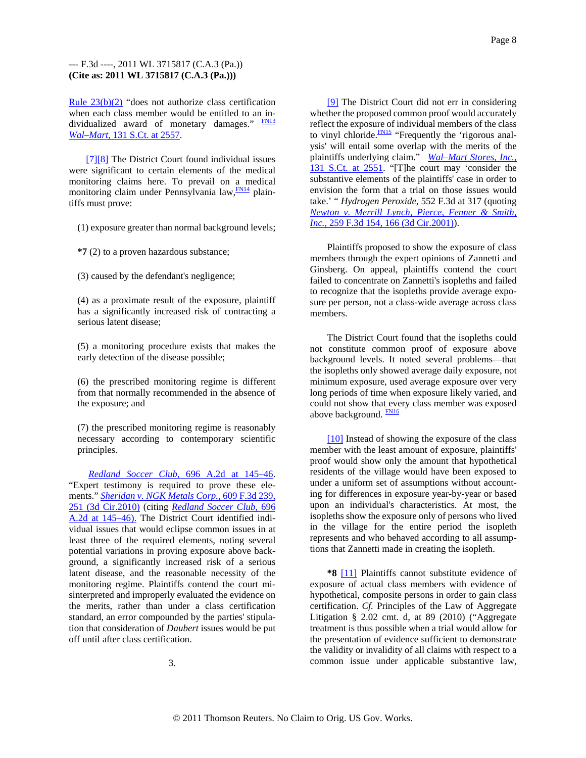Rule 23(b)(2) "does not authorize class certification when each class member would be entitled to an individualized award of monetary damages." FN13 *Wal–Mart,* 131 S.Ct. at 2557.

[7][8] The District Court found individual issues were significant to certain elements of the medical monitoring claims here. To prevail on a medical monitoring claim under Pennsylvania law, $\frac{FM14}{F}$  plaintiffs must prove:

(1) exposure greater than normal background levels;

**\*7** (2) to a proven hazardous substance;

(3) caused by the defendant's negligence;

(4) as a proximate result of the exposure, plaintiff has a significantly increased risk of contracting a serious latent disease;

(5) a monitoring procedure exists that makes the early detection of the disease possible;

(6) the prescribed monitoring regime is different from that normally recommended in the absence of the exposure; and

(7) the prescribed monitoring regime is reasonably necessary according to contemporary scientific principles.

*Redland Soccer Club,* 696 A.2d at 145–46. "Expert testimony is required to prove these elements." *Sheridan v. NGK Metals Corp.,* 609 F.3d 239, 251 (3d Cir.2010) (citing *Redland Soccer Club,* 696 A.2d at 145–46). The District Court identified individual issues that would eclipse common issues in at least three of the required elements, noting several potential variations in proving exposure above background, a significantly increased risk of a serious latent disease, and the reasonable necessity of the monitoring regime. Plaintiffs contend the court misinterpreted and improperly evaluated the evidence on the merits, rather than under a class certification standard, an error compounded by the parties' stipulation that consideration of *Daubert* issues would be put off until after class certification.

3.

[9] The District Court did not err in considering whether the proposed common proof would accurately reflect the exposure of individual members of the class to vinyl chloride.<sup>FN15</sup> "Frequently the 'rigorous analysis' will entail some overlap with the merits of the plaintiffs underlying claim." *Wal–Mart Stores, Inc.,* 131 S.Ct. at 2551. "[T]he court may 'consider the substantive elements of the plaintiffs' case in order to envision the form that a trial on those issues would take.' " *Hydrogen Peroxide,* 552 F.3d at 317 (quoting *Newton v. Merrill Lynch, Pierce, Fenner & Smith, Inc.,* 259 F.3d 154, 166 (3d Cir.2001).

Plaintiffs proposed to show the exposure of class members through the expert opinions of Zannetti and Ginsberg. On appeal, plaintiffs contend the court failed to concentrate on Zannetti's isopleths and failed to recognize that the isopleths provide average exposure per person, not a class-wide average across class members.

The District Court found that the isopleths could not constitute common proof of exposure above background levels. It noted several problems—that the isopleths only showed average daily exposure, not minimum exposure, used average exposure over very long periods of time when exposure likely varied, and could not show that every class member was exposed above background. **FN16** 

[10] Instead of showing the exposure of the class member with the least amount of exposure, plaintiffs' proof would show only the amount that hypothetical residents of the village would have been exposed to under a uniform set of assumptions without accounting for differences in exposure year-by-year or based upon an individual's characteristics. At most, the isopleths show the exposure only of persons who lived in the village for the entire period the isopleth represents and who behaved according to all assumptions that Zannetti made in creating the isopleth.

**\*8** [11] Plaintiffs cannot substitute evidence of exposure of actual class members with evidence of hypothetical, composite persons in order to gain class certification. *Cf.* Principles of the Law of Aggregate Litigation § 2.02 cmt. d, at 89 (2010) ("Aggregate treatment is thus possible when a trial would allow for the presentation of evidence sufficient to demonstrate the validity or invalidity of all claims with respect to a common issue under applicable substantive law,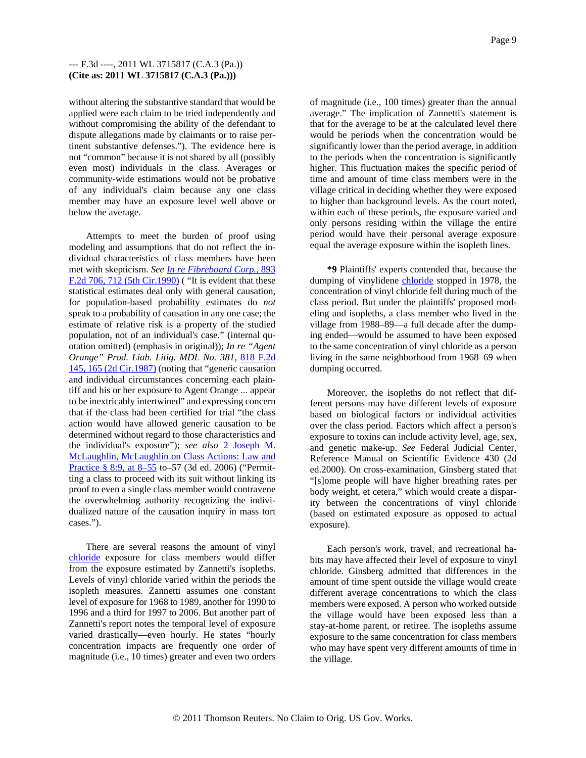without altering the substantive standard that would be applied were each claim to be tried independently and without compromising the ability of the defendant to dispute allegations made by claimants or to raise pertinent substantive defenses."). The evidence here is not "common" because it is not shared by all (possibly even most) individuals in the class. Averages or community-wide estimations would not be probative of any individual's claim because any one class member may have an exposure level well above or below the average.

Attempts to meet the burden of proof using modeling and assumptions that do not reflect the individual characteristics of class members have been met with skepticism. *See In re Fibreboard Corp.,* 893 F.2d 706, 712 (5th Cir.1990) ( "It is evident that these statistical estimates deal only with general causation, for population-based probability estimates do *not* speak to a probability of causation in any one case; the estimate of relative risk is a property of the studied population, not of an individual's case." (internal quotation omitted) (emphasis in original)); *In re "Agent Orange" Prod. Liab. Litig. MDL No. 381,* 818 F.2d 145, 165 (2d Cir.1987) (noting that "generic causation and individual circumstances concerning each plaintiff and his or her exposure to Agent Orange ... appear to be inextricably intertwined" and expressing concern that if the class had been certified for trial "the class action would have allowed generic causation to be determined without regard to those characteristics and the individual's exposure"); *see also* 2 Joseph M. McLaughlin, McLaughlin on Class Actions: Law and Practice § 8:9, at 8–55 to–57 (3d ed. 2006) ("Permitting a class to proceed with its suit without linking its proof to even a single class member would contravene the overwhelming authority recognizing the individualized nature of the causation inquiry in mass tort cases.").

There are several reasons the amount of vinyl chloride exposure for class members would differ from the exposure estimated by Zannetti's isopleths. Levels of vinyl chloride varied within the periods the isopleth measures. Zannetti assumes one constant level of exposure for 1968 to 1989, another for 1990 to 1996 and a third for 1997 to 2006. But another part of Zannetti's report notes the temporal level of exposure varied drastically—even hourly. He states "hourly concentration impacts are frequently one order of magnitude (i.e., 10 times) greater and even two orders

of magnitude (i.e., 100 times) greater than the annual average." The implication of Zannetti's statement is that for the average to be at the calculated level there would be periods when the concentration would be significantly lower than the period average, in addition to the periods when the concentration is significantly higher. This fluctuation makes the specific period of time and amount of time class members were in the village critical in deciding whether they were exposed to higher than background levels. As the court noted, within each of these periods, the exposure varied and only persons residing within the village the entire period would have their personal average exposure equal the average exposure within the isopleth lines.

**\*9** Plaintiffs' experts contended that, because the dumping of vinylidene chloride stopped in 1978, the concentration of vinyl chloride fell during much of the class period. But under the plaintiffs' proposed modeling and isopleths, a class member who lived in the village from 1988–89—a full decade after the dumping ended—would be assumed to have been exposed to the same concentration of vinyl chloride as a person living in the same neighborhood from 1968–69 when dumping occurred.

Moreover, the isopleths do not reflect that different persons may have different levels of exposure based on biological factors or individual activities over the class period. Factors which affect a person's exposure to toxins can include activity level, age, sex, and genetic make-up. *See* Federal Judicial Center, Reference Manual on Scientific Evidence 430 (2d ed.2000). On cross-examination, Ginsberg stated that "[s]ome people will have higher breathing rates per body weight, et cetera," which would create a disparity between the concentrations of vinyl chloride (based on estimated exposure as opposed to actual exposure).

Each person's work, travel, and recreational habits may have affected their level of exposure to vinyl chloride. Ginsberg admitted that differences in the amount of time spent outside the village would create different average concentrations to which the class members were exposed. A person who worked outside the village would have been exposed less than a stay-at-home parent, or retiree. The isopleths assume exposure to the same concentration for class members who may have spent very different amounts of time in the village.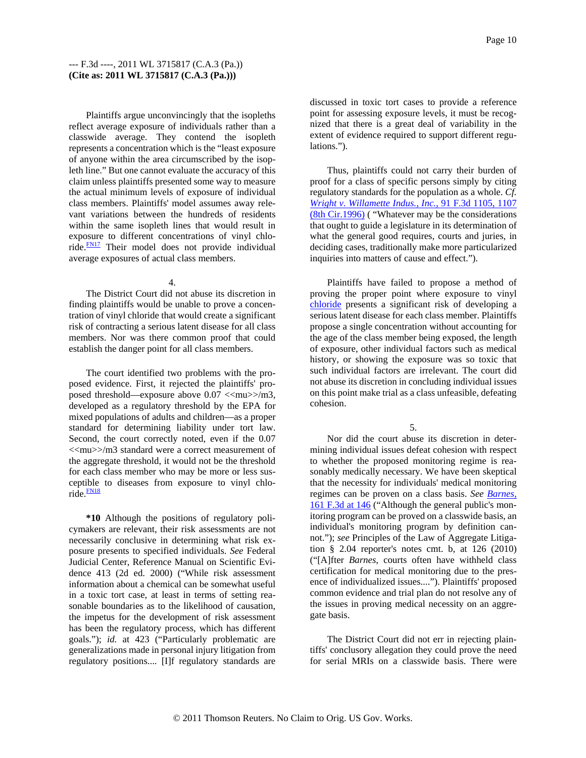Plaintiffs argue unconvincingly that the isopleths reflect average exposure of individuals rather than a classwide average. They contend the isopleth represents a concentration which is the "least exposure of anyone within the area circumscribed by the isopleth line." But one cannot evaluate the accuracy of this claim unless plaintiffs presented some way to measure the actual minimum levels of exposure of individual class members. Plaintiffs' model assumes away relevant variations between the hundreds of residents within the same isopleth lines that would result in exposure to different concentrations of vinyl chloride.<sup>FN17</sup> Their model does not provide individual average exposures of actual class members.

#### 4.

The District Court did not abuse its discretion in finding plaintiffs would be unable to prove a concentration of vinyl chloride that would create a significant risk of contracting a serious latent disease for all class members. Nor was there common proof that could establish the danger point for all class members.

The court identified two problems with the proposed evidence. First, it rejected the plaintiffs' proposed threshold—exposure above  $0.07 <$  <<mu>>/m3, developed as a regulatory threshold by the EPA for mixed populations of adults and children—as a proper standard for determining liability under tort law. Second, the court correctly noted, even if the 0.07 <<mu>>/m3 standard were a correct measurement of the aggregate threshold, it would not be the threshold for each class member who may be more or less susceptible to diseases from exposure to vinyl chlo $ride.$  $FNI8$ 

**\*10** Although the positions of regulatory policymakers are relevant, their risk assessments are not necessarily conclusive in determining what risk exposure presents to specified individuals. *See* Federal Judicial Center, Reference Manual on Scientific Evidence 413 (2d ed. 2000) ("While risk assessment information about a chemical can be somewhat useful in a toxic tort case, at least in terms of setting reasonable boundaries as to the likelihood of causation, the impetus for the development of risk assessment has been the regulatory process, which has different goals."); *id.* at 423 ("Particularly problematic are generalizations made in personal injury litigation from regulatory positions.... [I]f regulatory standards are

discussed in toxic tort cases to provide a reference point for assessing exposure levels, it must be recognized that there is a great deal of variability in the extent of evidence required to support different regulations.").

Thus, plaintiffs could not carry their burden of proof for a class of specific persons simply by citing regulatory standards for the population as a whole. *Cf. Wright v. Willamette Indus., Inc.,* 91 F.3d 1105, 1107 (8th Cir.1996) ( "Whatever may be the considerations that ought to guide a legislature in its determination of what the general good requires, courts and juries, in deciding cases, traditionally make more particularized inquiries into matters of cause and effect.").

Plaintiffs have failed to propose a method of proving the proper point where exposure to vinyl chloride presents a significant risk of developing a serious latent disease for each class member. Plaintiffs propose a single concentration without accounting for the age of the class member being exposed, the length of exposure, other individual factors such as medical history, or showing the exposure was so toxic that such individual factors are irrelevant. The court did not abuse its discretion in concluding individual issues on this point make trial as a class unfeasible, defeating cohesion.

5.

Nor did the court abuse its discretion in determining individual issues defeat cohesion with respect to whether the proposed monitoring regime is reasonably medically necessary. We have been skeptical that the necessity for individuals' medical monitoring regimes can be proven on a class basis. *See Barnes,* 161 F.3d at 146 ("Although the general public's monitoring program can be proved on a classwide basis, an individual's monitoring program by definition cannot."); *see* Principles of the Law of Aggregate Litigation § 2.04 reporter's notes cmt. b, at 126 (2010) ("[A]fter *Barnes,* courts often have withheld class certification for medical monitoring due to the presence of individualized issues...."). Plaintiffs' proposed common evidence and trial plan do not resolve any of the issues in proving medical necessity on an aggregate basis.

The District Court did not err in rejecting plaintiffs' conclusory allegation they could prove the need for serial MRIs on a classwide basis. There were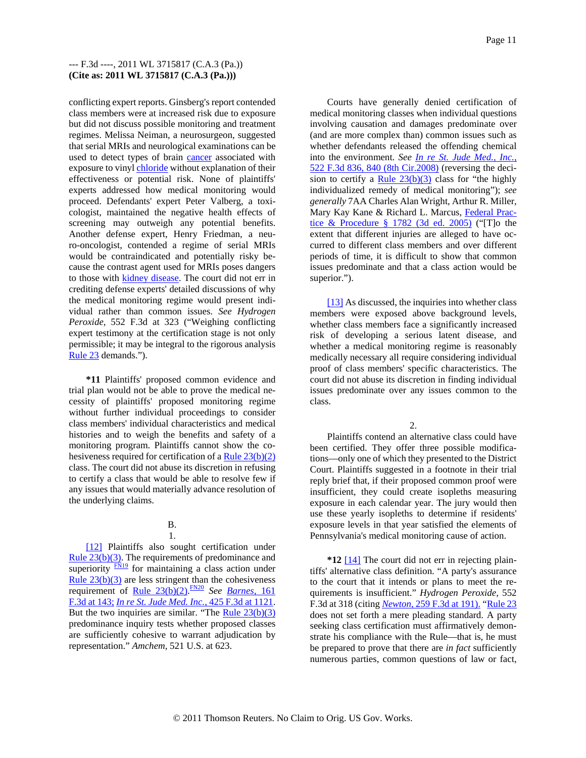conflicting expert reports. Ginsberg's report contended class members were at increased risk due to exposure but did not discuss possible monitoring and treatment regimes. Melissa Neiman, a neurosurgeon, suggested that serial MRIs and neurological examinations can be used to detect types of brain cancer associated with exposure to vinyl chloride without explanation of their effectiveness or potential risk. None of plaintiffs' experts addressed how medical monitoring would proceed. Defendants' expert Peter Valberg, a toxicologist, maintained the negative health effects of screening may outweigh any potential benefits. Another defense expert, Henry Friedman, a neuro-oncologist, contended a regime of serial MRIs would be contraindicated and potentially risky because the contrast agent used for MRIs poses dangers to those with **kidney disease**. The court did not err in crediting defense experts' detailed discussions of why the medical monitoring regime would present individual rather than common issues. *See Hydrogen Peroxide,* 552 F.3d at 323 ("Weighing conflicting expert testimony at the certification stage is not only permissible; it may be integral to the rigorous analysis Rule 23 demands.").

**\*11** Plaintiffs' proposed common evidence and trial plan would not be able to prove the medical necessity of plaintiffs' proposed monitoring regime without further individual proceedings to consider class members' individual characteristics and medical histories and to weigh the benefits and safety of a monitoring program. Plaintiffs cannot show the cohesiveness required for certification of a Rule 23(b)(2) class. The court did not abuse its discretion in refusing to certify a class that would be able to resolve few if any issues that would materially advance resolution of the underlying claims.

#### B. 1.

[12] Plaintiffs also sought certification under Rule 23(b)(3). The requirements of predominance and superiority  $\frac{FN19}{FN19}$  for maintaining a class action under Rule  $23(b)(3)$  are less stringent than the cohesiveness requirement of Rule 23(b)(2). FN20 *See Barnes,* 161 F.3d at 143; *In re St. Jude Med. Inc.,* 425 F.3d at 1121. But the two inquiries are similar. "The Rule  $23(b)(3)$ predominance inquiry tests whether proposed classes are sufficiently cohesive to warrant adjudication by representation." *Amchem,* 521 U.S. at 623.

Courts have generally denied certification of medical monitoring classes when individual questions involving causation and damages predominate over (and are more complex than) common issues such as whether defendants released the offending chemical into the environment. *See In re St. Jude Med., Inc.,* 522 F.3d 836, 840 (8th Cir.2008) (reversing the decision to certify a Rule  $23(b)(3)$  class for "the highly individualized remedy of medical monitoring"); *see generally* 7AA Charles Alan Wright, Arthur R. Miller, Mary Kay Kane & Richard L. Marcus, Federal Practice & Procedure  $\S$  1782 (3d ed. 2005) ("To the extent that different injuries are alleged to have occurred to different class members and over different periods of time, it is difficult to show that common issues predominate and that a class action would be superior.").

[13] As discussed, the inquiries into whether class members were exposed above background levels, whether class members face a significantly increased risk of developing a serious latent disease, and whether a medical monitoring regime is reasonably medically necessary all require considering individual proof of class members' specific characteristics. The court did not abuse its discretion in finding individual issues predominate over any issues common to the class.

 $\mathcal{L}$ 

Plaintiffs contend an alternative class could have been certified. They offer three possible modifications—only one of which they presented to the District Court. Plaintiffs suggested in a footnote in their trial reply brief that, if their proposed common proof were insufficient, they could create isopleths measuring exposure in each calendar year. The jury would then use these yearly isopleths to determine if residents' exposure levels in that year satisfied the elements of Pennsylvania's medical monitoring cause of action.

**\*12** [14] The court did not err in rejecting plaintiffs' alternative class definition. "A party's assurance to the court that it intends or plans to meet the requirements is insufficient." *Hydrogen Peroxide,* 552 F.3d at 318 (citing *Newton,* 259 F.3d at 191). "Rule 23 does not set forth a mere pleading standard. A party seeking class certification must affirmatively demonstrate his compliance with the Rule—that is, he must be prepared to prove that there are *in fact* sufficiently numerous parties, common questions of law or fact,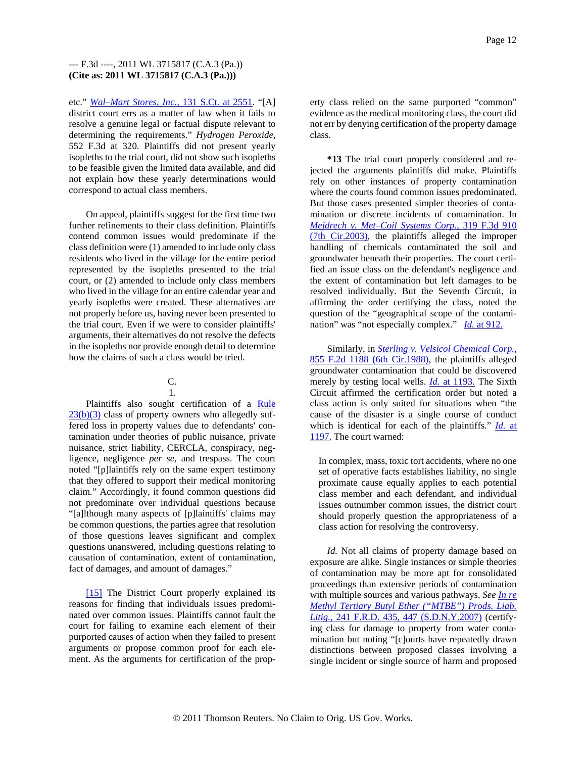etc." *Wal–Mart Stores, Inc.,* 131 S.Ct. at 2551. "[A] district court errs as a matter of law when it fails to resolve a genuine legal or factual dispute relevant to determining the requirements." *Hydrogen Peroxide,* 552 F.3d at 320. Plaintiffs did not present yearly isopleths to the trial court, did not show such isopleths to be feasible given the limited data available, and did not explain how these yearly determinations would correspond to actual class members.

On appeal, plaintiffs suggest for the first time two further refinements to their class definition. Plaintiffs contend common issues would predominate if the class definition were (1) amended to include only class residents who lived in the village for the entire period represented by the isopleths presented to the trial court, or (2) amended to include only class members who lived in the village for an entire calendar year and yearly isopleths were created. These alternatives are not properly before us, having never been presented to the trial court. Even if we were to consider plaintiffs' arguments, their alternatives do not resolve the defects in the isopleths nor provide enough detail to determine how the claims of such a class would be tried.

#### C. 1.

Plaintiffs also sought certification of a Rule  $23(b)(3)$  class of property owners who allegedly suffered loss in property values due to defendants' contamination under theories of public nuisance, private nuisance, strict liability, CERCLA, conspiracy, negligence, negligence *per se,* and trespass. The court noted "[p]laintiffs rely on the same expert testimony that they offered to support their medical monitoring claim." Accordingly, it found common questions did not predominate over individual questions because "[a]lthough many aspects of [p]laintiffs' claims may be common questions, the parties agree that resolution of those questions leaves significant and complex questions unanswered, including questions relating to causation of contamination, extent of contamination, fact of damages, and amount of damages."

[15] The District Court properly explained its reasons for finding that individuals issues predominated over common issues. Plaintiffs cannot fault the court for failing to examine each element of their purported causes of action when they failed to present arguments or propose common proof for each element. As the arguments for certification of the prop-

erty class relied on the same purported "common" evidence as the medical monitoring class, the court did not err by denying certification of the property damage class.

**\*13** The trial court properly considered and rejected the arguments plaintiffs did make. Plaintiffs rely on other instances of property contamination where the courts found common issues predominated. But those cases presented simpler theories of contamination or discrete incidents of contamination. In *Mejdrech v. Met–Coil Systems Corp.,* 319 F.3d 910 (7th Cir.2003), the plaintiffs alleged the improper handling of chemicals contaminated the soil and groundwater beneath their properties. The court certified an issue class on the defendant's negligence and the extent of contamination but left damages to be resolved individually. But the Seventh Circuit, in affirming the order certifying the class, noted the question of the "geographical scope of the contamination" was "not especially complex." *Id.* at 912.

Similarly, in *Sterling v. Velsicol Chemical Corp.,* 855 F.2d 1188 (6th Cir.1988), the plaintiffs alleged groundwater contamination that could be discovered merely by testing local wells. *Id.* at 1193. The Sixth Circuit affirmed the certification order but noted a class action is only suited for situations when "the cause of the disaster is a single course of conduct which is identical for each of the plaintiffs." *Id.* at 1197. The court warned:

In complex, mass, toxic tort accidents, where no one set of operative facts establishes liability, no single proximate cause equally applies to each potential class member and each defendant, and individual issues outnumber common issues, the district court should properly question the appropriateness of a class action for resolving the controversy.

*Id.* Not all claims of property damage based on exposure are alike. Single instances or simple theories of contamination may be more apt for consolidated proceedings than extensive periods of contamination with multiple sources and various pathways. *See In re Methyl Tertiary Butyl Ether ("MTBE") Prods. Liab. Litig.,* 241 F.R.D. 435, 447 (S.D.N.Y.2007) (certifying class for damage to property from water contamination but noting "[c]ourts have repeatedly drawn distinctions between proposed classes involving a single incident or single source of harm and proposed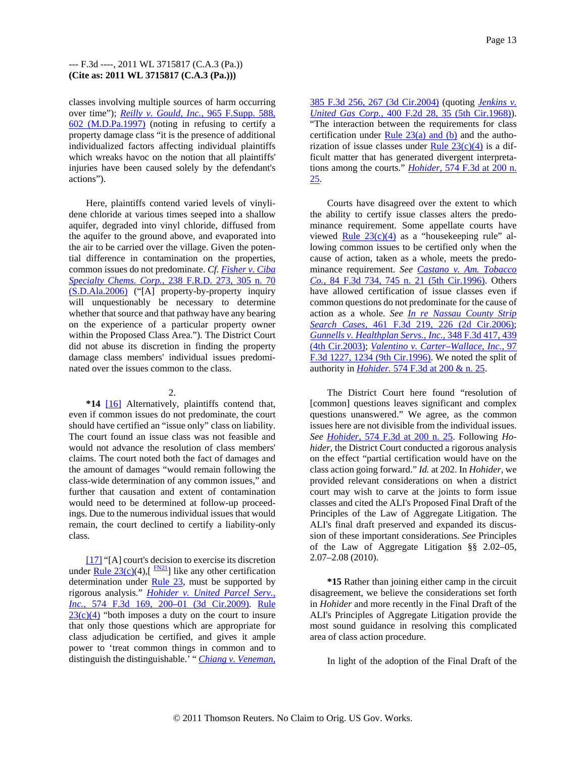classes involving multiple sources of harm occurring over time"); *Reilly v. Gould, Inc.,* 965 F.Supp. 588, 602 (M.D.Pa.1997) (noting in refusing to certify a property damage class "it is the presence of additional individualized factors affecting individual plaintiffs which wreaks havoc on the notion that all plaintiffs' injuries have been caused solely by the defendant's actions").

Here, plaintiffs contend varied levels of vinylidene chloride at various times seeped into a shallow aquifer, degraded into vinyl chloride, diffused from the aquifer to the ground above, and evaporated into the air to be carried over the village. Given the potential difference in contamination on the properties, common issues do not predominate. *Cf. Fisher v. Ciba Specialty Chems. Corp.,* 238 F.R.D. 273, 305 n. 70 (S.D.Ala.2006) ("[A] property-by-property inquiry will unquestionably be necessary to determine whether that source and that pathway have any bearing on the experience of a particular property owner within the Proposed Class Area."). The District Court did not abuse its discretion in finding the property damage class members' individual issues predominated over the issues common to the class.

# $2<sup>2</sup>$

**\*14** [16] Alternatively, plaintiffs contend that, even if common issues do not predominate, the court should have certified an "issue only" class on liability. The court found an issue class was not feasible and would not advance the resolution of class members' claims. The court noted both the fact of damages and the amount of damages "would remain following the class-wide determination of any common issues," and further that causation and extent of contamination would need to be determined at follow-up proceedings. Due to the numerous individual issues that would remain, the court declined to certify a liability-only class.

[17] "[A] court's decision to exercise its discretion under <u>Rule 23(c)</u>(4),[ $\frac{FN21}{TN21}$ ] like any other certification determination under  $Rule 23$ , must be supported by rigorous analysis." *Hohider v. United Parcel Serv., Inc.,* 574 F.3d 169, 200–01 (3d Cir.2009). Rule  $23(c)(4)$  "both imposes a duty on the court to insure that only those questions which are appropriate for class adjudication be certified, and gives it ample power to 'treat common things in common and to distinguish the distinguishable.' " *Chiang v. Veneman,*

385 F.3d 256, 267 (3d Cir.2004) (quoting *Jenkins v. United Gas Corp.,* 400 F.2d 28, 35 (5th Cir.1968)). "The interaction between the requirements for class certification under Rule  $23(a)$  and (b) and the authorization of issue classes under Rule  $23(c)(4)$  is a difficult matter that has generated divergent interpretations among the courts." *Hohider,* 574 F.3d at 200 n. 25.

Courts have disagreed over the extent to which the ability to certify issue classes alters the predominance requirement. Some appellate courts have viewed Rule  $23(c)(4)$  as a "housekeeping rule" allowing common issues to be certified only when the cause of action, taken as a whole, meets the predominance requirement. *See Castano v. Am. Tobacco Co.,* 84 F.3d 734, 745 n. 21 (5th Cir.1996). Others have allowed certification of issue classes even if common questions do not predominate for the cause of action as a whole. *See In re Nassau County Strip Search Cases,* 461 F.3d 219, 226 (2d Cir.2006); *Gunnells v. Healthplan Servs., Inc.,* 348 F.3d 417, 439 (4th Cir.2003); *Valentino v. Carter–Wallace, Inc.,* 97 F.3d 1227, 1234 (9th Cir.1996). We noted the split of authority in *Hohider.* 574 F.3d at 200 & n. 25.

The District Court here found "resolution of [common] questions leaves significant and complex questions unanswered." We agree, as the common issues here are not divisible from the individual issues. *See Hohider,* 574 F.3d at 200 n. 25. Following *Hohider,* the District Court conducted a rigorous analysis on the effect "partial certification would have on the class action going forward." *Id.* at 202. In *Hohider,* we provided relevant considerations on when a district court may wish to carve at the joints to form issue classes and cited the ALI's Proposed Final Draft of the Principles of the Law of Aggregate Litigation. The ALI's final draft preserved and expanded its discussion of these important considerations. *See* Principles of the Law of Aggregate Litigation §§ 2.02–05, 2.07–2.08 (2010).

**\*15** Rather than joining either camp in the circuit disagreement, we believe the considerations set forth in *Hohider* and more recently in the Final Draft of the ALI's Principles of Aggregate Litigation provide the most sound guidance in resolving this complicated area of class action procedure.

In light of the adoption of the Final Draft of the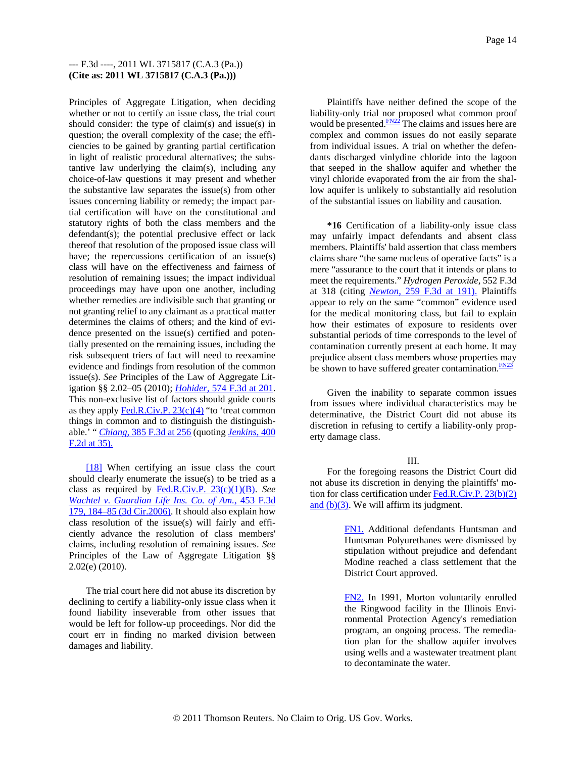Principles of Aggregate Litigation, when deciding whether or not to certify an issue class, the trial court should consider: the type of claim(s) and issue(s) in question; the overall complexity of the case; the efficiencies to be gained by granting partial certification in light of realistic procedural alternatives; the substantive law underlying the claim(s), including any choice-of-law questions it may present and whether the substantive law separates the issue(s) from other issues concerning liability or remedy; the impact partial certification will have on the constitutional and statutory rights of both the class members and the defendant(s); the potential preclusive effect or lack thereof that resolution of the proposed issue class will have; the repercussions certification of an issue(s) class will have on the effectiveness and fairness of resolution of remaining issues; the impact individual proceedings may have upon one another, including whether remedies are indivisible such that granting or not granting relief to any claimant as a practical matter determines the claims of others; and the kind of evidence presented on the issue(s) certified and potentially presented on the remaining issues, including the risk subsequent triers of fact will need to reexamine evidence and findings from resolution of the common issue(s). *See* Principles of the Law of Aggregate Litigation §§ 2.02–05 (2010); *Hohider,* 574 F.3d at 201. This non-exclusive list of factors should guide courts as they apply  $Fed.R.Civ.P. 23(c)(4) "to 'treat common"$ </u> things in common and to distinguish the distinguishable.' " *Chiang,* 385 F.3d at 256 (quoting *Jenkins,* 400 F.2d at 35).

[18] When certifying an issue class the court should clearly enumerate the issue(s) to be tried as a class as required by Fed.R.Civ.P. 23(c)(1)(B). *See Wachtel v. Guardian Life Ins. Co. of Am.,* 453 F.3d 179, 184–85 (3d Cir.2006). It should also explain how class resolution of the issue(s) will fairly and efficiently advance the resolution of class members' claims, including resolution of remaining issues. *See* Principles of the Law of Aggregate Litigation §§ 2.02(e) (2010).

The trial court here did not abuse its discretion by declining to certify a liability-only issue class when it found liability inseverable from other issues that would be left for follow-up proceedings. Nor did the court err in finding no marked division between damages and liability.

Plaintiffs have neither defined the scope of the liability-only trial nor proposed what common proof would be presented. $\frac{FN22}{FN}$  The claims and issues here are complex and common issues do not easily separate from individual issues. A trial on whether the defendants discharged vinlydine chloride into the lagoon that seeped in the shallow aquifer and whether the vinyl chloride evaporated from the air from the shallow aquifer is unlikely to substantially aid resolution of the substantial issues on liability and causation.

**\*16** Certification of a liability-only issue class may unfairly impact defendants and absent class members. Plaintiffs' bald assertion that class members claims share "the same nucleus of operative facts" is a mere "assurance to the court that it intends or plans to meet the requirements." *Hydrogen Peroxide,* 552 F.3d at 318 (citing *Newton,* 259 F.3d at 191). Plaintiffs appear to rely on the same "common" evidence used for the medical monitoring class, but fail to explain how their estimates of exposure to residents over substantial periods of time corresponds to the level of contamination currently present at each home. It may prejudice absent class members whose properties may be shown to have suffered greater contamination. $\frac{FN23}{FN23}$ 

Given the inability to separate common issues from issues where individual characteristics may be determinative, the District Court did not abuse its discretion in refusing to certify a liability-only property damage class.

## III.

For the foregoing reasons the District Court did not abuse its discretion in denying the plaintiffs' motion for class certification under  $Fed.R.Civ.P. 23(b)(2)$ </u> and  $(b)(3)$ . We will affirm its judgment.

> FN1. Additional defendants Huntsman and Huntsman Polyurethanes were dismissed by stipulation without prejudice and defendant Modine reached a class settlement that the District Court approved.

> FN2. In 1991, Morton voluntarily enrolled the Ringwood facility in the Illinois Environmental Protection Agency's remediation program, an ongoing process. The remediation plan for the shallow aquifer involves using wells and a wastewater treatment plant to decontaminate the water.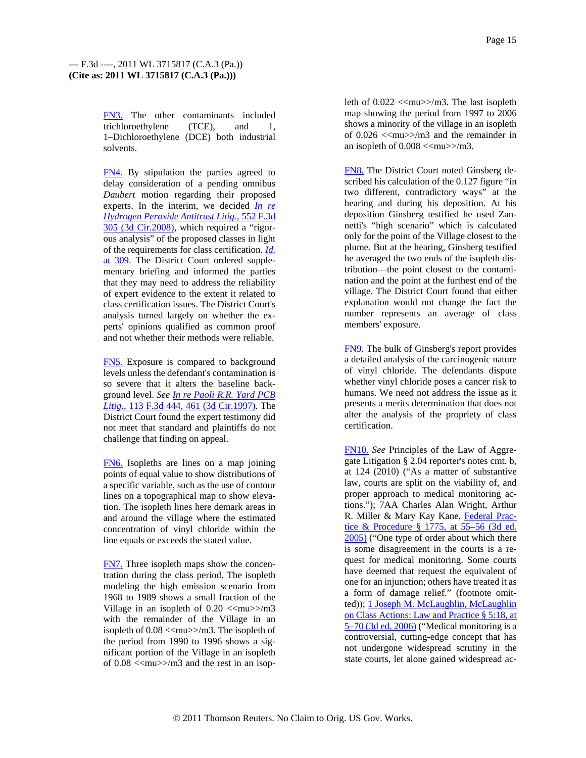FN3. The other contaminants included trichloroethylene (TCE), and 1, 1–Dichloroethylene (DCE) both industrial solvents.

FN4. By stipulation the parties agreed to delay consideration of a pending omnibus *Daubert* motion regarding their proposed experts. In the interim, we decided *In re Hydrogen Peroxide Antitrust Litig.,* 552 F.3d 305 (3d Cir.2008), which required a "rigorous analysis" of the proposed classes in light of the requirements for class certification. *Id.* at 309. The District Court ordered supplementary briefing and informed the parties that they may need to address the reliability of expert evidence to the extent it related to class certification issues. The District Court's analysis turned largely on whether the experts' opinions qualified as common proof and not whether their methods were reliable.

FN5. Exposure is compared to background levels unless the defendant's contamination is so severe that it alters the baseline background level. *See In re Paoli R.R. Yard PCB Litig.,* 113 F.3d 444, 461 (3d Cir.1997). The District Court found the expert testimony did not meet that standard and plaintiffs do not challenge that finding on appeal.

FN6. Isopleths are lines on a map joining points of equal value to show distributions of a specific variable, such as the use of contour lines on a topographical map to show elevation. The isopleth lines here demark areas in and around the village where the estimated concentration of vinyl chloride within the line equals or exceeds the stated value.

FN7. Three isopleth maps show the concentration during the class period. The isopleth modeling the high emission scenario from 1968 to 1989 shows a small fraction of the Village in an isopleth of  $0.20 < \text{cm}$ u $>>$ m3 with the remainder of the Village in an isopleth of  $0.08 <$ <mu>>/m3. The isopleth of the period from 1990 to 1996 shows a significant portion of the Village in an isopleth of  $0.08 \ll m$ u $>>$ m3 and the rest in an isopleth of  $0.022 \ll \text{mu} >> \text{m3}$ . The last isopleth map showing the period from 1997 to 2006 shows a minority of the village in an isopleth of  $0.026 \ll m$   $\gg$  m3 and the remainder in an isopleth of  $0.008 \leq m$ u $>>$ m3.

FN8. The District Court noted Ginsberg described his calculation of the 0.127 figure "in two different, contradictory ways" at the hearing and during his deposition. At his deposition Ginsberg testified he used Zannetti's "high scenario" which is calculated only for the point of the Village closest to the plume. But at the hearing, Ginsberg testified he averaged the two ends of the isopleth distribution—the point closest to the contamination and the point at the furthest end of the village. The District Court found that either explanation would not change the fact the number represents an average of class members' exposure.

FN9. The bulk of Ginsberg's report provides a detailed analysis of the carcinogenic nature of vinyl chloride. The defendants dispute whether vinyl chloride poses a cancer risk to humans. We need not address the issue as it presents a merits determination that does not alter the analysis of the propriety of class certification.

FN10. *See* Principles of the Law of Aggregate Litigation § 2.04 reporter's notes cmt. b, at 124 (2010) ("As a matter of substantive law, courts are split on the viability of, and proper approach to medical monitoring actions."); 7AA Charles Alan Wright, Arthur R. Miller & Mary Kay Kane, Federal Practice & Procedure § 1775, at 55–56 (3d ed. 2005) ("One type of order about which there is some disagreement in the courts is a request for medical monitoring. Some courts have deemed that request the equivalent of one for an injunction; others have treated it as a form of damage relief." (footnote omitted)); 1 Joseph M. McLaughlin, McLaughlin on Class Actions: Law and Practice § 5:18, at 5–70 (3d ed. 2006) ("Medical monitoring is a controversial, cutting-edge concept that has not undergone widespread scrutiny in the state courts, let alone gained widespread ac-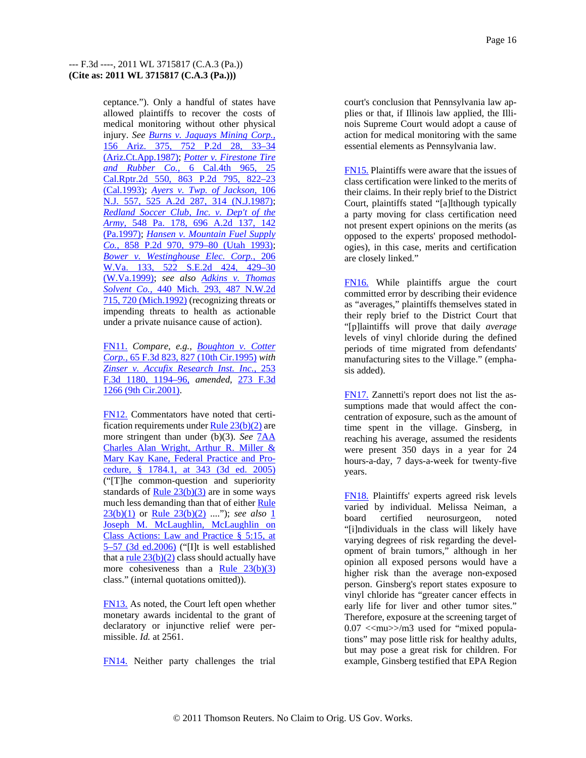ceptance."). Only a handful of states have allowed plaintiffs to recover the costs of medical monitoring without other physical injury. *See Burns v. Jaquays Mining Corp.,* 156 Ariz. 375, 752 P.2d 28, 33–34 (Ariz.Ct.App.1987); *Potter v. Firestone Tire and Rubber Co.,* 6 Cal.4th 965, 25 Cal.Rptr.2d 550, 863 P.2d 795, 822–23 (Cal.1993); *Ayers v. Twp. of Jackson,* 106 N.J. 557, 525 A.2d 287, 314 (N.J.1987); *Redland Soccer Club, Inc. v. Dep't of the Army,* 548 Pa. 178, 696 A.2d 137, 142 (Pa.1997); *Hansen v. Mountain Fuel Supply Co.,* 858 P.2d 970, 979–80 (Utah 1993); *Bower v. Westinghouse Elec. Corp.,* 206 W.Va. 133, 522 S.E.2d 424, 429–30 (W.Va.1999); *see also Adkins v. Thomas Solvent Co.,* 440 Mich. 293, 487 N.W.2d 715, 720 (Mich.1992) (recognizing threats or impending threats to health as actionable under a private nuisance cause of action).

FN11. *Compare, e.g., Boughton v. Cotter Corp.,* 65 F.3d 823, 827 (10th Cir.1995) *with Zinser v. Accufix Research Inst. Inc.,* 253 F.3d 1180, 1194–96, *amended,* 273 F.3d 1266 (9th Cir.2001).

FN12. Commentators have noted that certification requirements under  $Rule 23(b)(2)$  are more stringent than under (b)(3). *See* 7AA Charles Alan Wright, Arthur R. Miller & Mary Kay Kane, Federal Practice and Procedure, § 1784.1, at 343 (3d ed. 2005) ("[T]he common-question and superiority standards of <u>Rule  $23(b)(3)$ </u> are in some ways much less demanding than that of either Rule 23(b)(1) or Rule 23(b)(2) ...."); *see also* 1 Joseph M. McLaughlin, McLaughlin on Class Actions: Law and Practice § 5:15, at 5–57 (3d ed.2006) ("[I]t is well established that a <u>rule  $23(b)(2)$ </u> class should actually have more cohesiveness than a Rule  $23(b)(3)$ class." (internal quotations omitted)).

FN13. As noted, the Court left open whether monetary awards incidental to the grant of declaratory or injunctive relief were permissible. *Id.* at 2561.

FN14. Neither party challenges the trial

court's conclusion that Pennsylvania law applies or that, if Illinois law applied, the Illinois Supreme Court would adopt a cause of action for medical monitoring with the same essential elements as Pennsylvania law.

FN15. Plaintiffs were aware that the issues of class certification were linked to the merits of their claims. In their reply brief to the District Court, plaintiffs stated "[a]lthough typically a party moving for class certification need not present expert opinions on the merits (as opposed to the experts' proposed methodologies), in this case, merits and certification are closely linked."

FN16. While plaintiffs argue the court committed error by describing their evidence as "averages," plaintiffs themselves stated in their reply brief to the District Court that "[p]laintiffs will prove that daily *average* levels of vinyl chloride during the defined periods of time migrated from defendants' manufacturing sites to the Village." (emphasis added).

FN17. Zannetti's report does not list the assumptions made that would affect the concentration of exposure, such as the amount of time spent in the village. Ginsberg, in reaching his average, assumed the residents were present 350 days in a year for 24 hours-a-day, 7 days-a-week for twenty-five years.

FN18. Plaintiffs' experts agreed risk levels varied by individual. Melissa Neiman, a board certified neurosurgeon, noted "[i]ndividuals in the class will likely have varying degrees of risk regarding the development of brain tumors," although in her opinion all exposed persons would have a higher risk than the average non-exposed person. Ginsberg's report states exposure to vinyl chloride has "greater cancer effects in early life for liver and other tumor sites." Therefore, exposure at the screening target of  $0.07 <$   $\langle$ mu $>$  $\rangle$ m3 used for "mixed populations" may pose little risk for healthy adults, but may pose a great risk for children. For example, Ginsberg testified that EPA Region